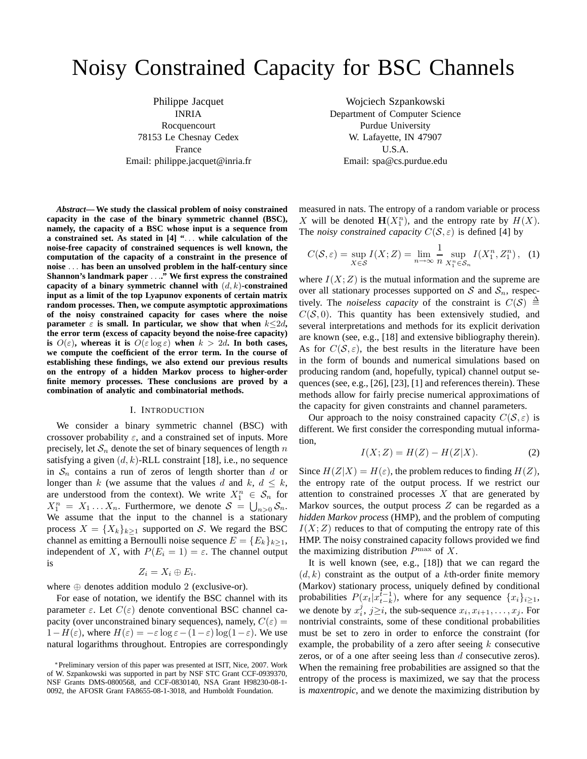# Noisy Constrained Capacity for BSC Channels

Philippe Jacquet INRIA Rocquencourt 78153 Le Chesnay Cedex France Email: philippe.jacquet@inria.fr

*Abstract***— We study the classical problem of noisy constrained capacity in the case of the binary symmetric channel (BSC), namely, the capacity of a BSC whose input is a sequence from a constrained set. As stated in [4] "**. . . **while calculation of the noise-free capacity of constrained sequences is well known, the computation of the capacity of a constraint in the presence of noise** . . . **has been an unsolved problem in the half-century since Shannon's landmark paper** . . .**." We first express the constrained capacity of a binary symmetric channel with** (d, k)**-constrained input as a limit of the top Lyapunov exponents of certain matrix random processes. Then, we compute asymptotic approximations of the noisy constrained capacity for cases where the noise parameter**  $\varepsilon$  **is small.** In particular, we show that when  $k \leq 2d$ , **the error term (excess of capacity beyond the noise-free capacity) is**  $O(\varepsilon)$ , whereas it is  $O(\varepsilon \log \varepsilon)$  when  $k > 2d$ . In both cases, **we compute the coefficient of the error term. In the course of establishing these findings, we also extend our previous results on the entropy of a hidden Markov process to higher-order finite memory processes. These conclusions are proved by a combination of analytic and combinatorial methods.**

#### I. INTRODUCTION

We consider a binary symmetric channel (BSC) with crossover probability  $\varepsilon$ , and a constrained set of inputs. More precisely, let  $S_n$  denote the set of binary sequences of length n satisfying a given  $(d, k)$ -RLL constraint [18], i.e., no sequence in  $S_n$  contains a run of zeros of length shorter than d or longer than k (we assume that the values d and k,  $d \leq k$ , are understood from the context). We write  $X_1^n \in S_n$  for  $X_1^n = X_1 \dots X_n$ . Furthermore, we denote  $S = \bigcup_{n>0} S_n$ . We assume that the input to the channel is a stationary process  $X = \{X_k\}_{k>1}$  supported on S. We regard the BSC channel as emitting a Bernoulli noise sequence  $E = \{E_k\}_{k>1}$ , independent of X, with  $P(E_i = 1) = \varepsilon$ . The channel output is

$$
Z_i=X_i\oplus E_i.
$$

where  $\oplus$  denotes addition modulo 2 (exclusive-or).

For ease of notation, we identify the BSC channel with its parameter  $\varepsilon$ . Let  $C(\varepsilon)$  denote conventional BSC channel capacity (over unconstrained binary sequences), namely,  $C(\varepsilon)$  =  $1-H(\varepsilon)$ , where  $H(\varepsilon) = -\varepsilon \log \varepsilon - (1-\varepsilon) \log(1-\varepsilon)$ . We use natural logarithms throughout. Entropies are correspondingly

Wojciech Szpankowski Department of Computer Science Purdue University W. Lafayette, IN 47907 U.S.A. Email: spa@cs.purdue.edu

measured in nats. The entropy of a random variable or process X will be denoted  $\mathbf{H}(X_1^n)$ , and the entropy rate by  $H(X)$ . The *noisy constrained capacity*  $C(S, \varepsilon)$  is defined [4] by

$$
C(S, \varepsilon) = \sup_{X \in \mathcal{S}} I(X; Z) = \lim_{n \to \infty} \frac{1}{n} \sup_{X_1^n \in \mathcal{S}_n} I(X_1^n, Z_1^n), \quad (1)
$$

where  $I(X; Z)$  is the mutual information and the supreme are over all stationary processes supported on  $S$  and  $S_n$ , respectively. The *noiseless capacity* of the constraint is  $C(S) \triangleq$  $C(S, 0)$ . This quantity has been extensively studied, and several interpretations and methods for its explicit derivation are known (see, e.g., [18] and extensive bibliography therein). As for  $C(S, \varepsilon)$ , the best results in the literature have been in the form of bounds and numerical simulations based on producing random (and, hopefully, typical) channel output sequences (see, e.g., [26], [23], [1] and references therein). These methods allow for fairly precise numerical approximations of the capacity for given constraints and channel parameters.

Our approach to the noisy constrained capacity  $C(S, \varepsilon)$  is different. We first consider the corresponding mutual information,

$$
I(X;Z) = H(Z) - H(Z|X). \tag{2}
$$

Since  $H(Z|X) = H(\varepsilon)$ , the problem reduces to finding  $H(Z)$ , the entropy rate of the output process. If we restrict our attention to constrained processes  $X$  that are generated by Markov sources, the output process  $Z$  can be regarded as a *hidden Markov process* (HMP), and the problem of computing  $I(X; Z)$  reduces to that of computing the entropy rate of this HMP. The noisy constrained capacity follows provided we find the maximizing distribution  $P^{\max}$  of X.

It is well known (see, e.g., [18]) that we can regard the  $(d, k)$  constraint as the output of a kth-order finite memory (Markov) stationary process, uniquely defined by conditional probabilities  $P(x_t|x_{t-k}^{t-1})$ , where for any sequence  $\{x_i\}_{i\geq 1}$ , we denote by  $x_i^j$ ,  $j \ge i$ , the sub-sequence  $x_i, x_{i+1}, \ldots, x_j$ . For nontrivial constraints, some of these conditional probabilities must be set to zero in order to enforce the constraint (for example, the probability of a zero after seeing  $k$  consecutive zeros, or of a one after seeing less than  $d$  consecutive zeros). When the remaining free probabilities are assigned so that the entropy of the process is maximized, we say that the process is *maxentropic*, and we denote the maximizing distribution by

<sup>∗</sup>Preliminary version of this paper was presented at ISIT, Nice, 2007. Work of W. Szpankowski was supported in part by NSF STC Grant CCF-0939370, NSF Grants DMS-0800568, and CCF-0830140, NSA Grant H98230-08-1- 0092, the AFOSR Grant FA8655-08-1-3018, and Humboldt Foundation.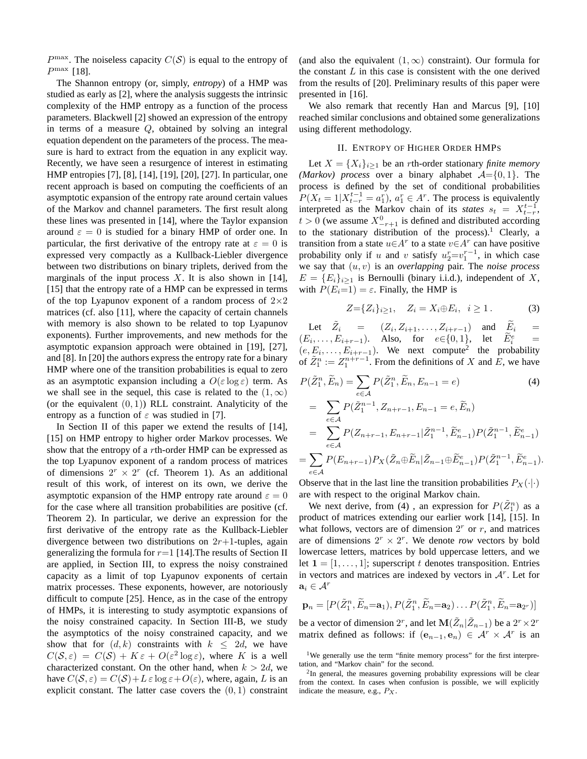$P^{\max}$ . The noiseless capacity  $C(S)$  is equal to the entropy of  $P^{\max}$  [18].

The Shannon entropy (or, simply, *entropy*) of a HMP was studied as early as [2], where the analysis suggests the intrinsic complexity of the HMP entropy as a function of the process parameters. Blackwell [2] showed an expression of the entropy in terms of a measure Q, obtained by solving an integral equation dependent on the parameters of the process. The measure is hard to extract from the equation in any explicit way. Recently, we have seen a resurgence of interest in estimating HMP entropies [7], [8], [14], [19], [20], [27]. In particular, one recent approach is based on computing the coefficients of an asymptotic expansion of the entropy rate around certain values of the Markov and channel parameters. The first result along these lines was presented in [14], where the Taylor expansion around  $\varepsilon = 0$  is studied for a binary HMP of order one. In particular, the first derivative of the entropy rate at  $\varepsilon = 0$  is expressed very compactly as a Kullback-Liebler divergence between two distributions on binary triplets, derived from the marginals of the input process  $X$ . It is also shown in [14], [15] that the entropy rate of a HMP can be expressed in terms of the top Lyapunov exponent of a random process of  $2\times 2$ matrices (cf. also [11], where the capacity of certain channels with memory is also shown to be related to top Lyapunov exponents). Further improvements, and new methods for the asymptotic expansion approach were obtained in [19], [27], and [8]. In [20] the authors express the entropy rate for a binary HMP where one of the transition probabilities is equal to zero as an asymptotic expansion including a  $O(\varepsilon \log \varepsilon)$  term. As we shall see in the sequel, this case is related to the  $(1, \infty)$ (or the equivalent  $(0, 1)$ ) RLL constraint. Analyticity of the entropy as a function of  $\varepsilon$  was studied in [7].

In Section II of this paper we extend the results of [14], [15] on HMP entropy to higher order Markov processes. We show that the entropy of a rth-order HMP can be expressed as the top Lyapunov exponent of a random process of matrices of dimensions  $2^r \times 2^r$  (cf. Theorem 1). As an additional result of this work, of interest on its own, we derive the asymptotic expansion of the HMP entropy rate around  $\varepsilon = 0$ for the case where all transition probabilities are positive (cf. Theorem 2). In particular, we derive an expression for the first derivative of the entropy rate as the Kullback-Liebler divergence between two distributions on  $2r+1$ -tuples, again generalizing the formula for  $r=1$  [14]. The results of Section II are applied, in Section III, to express the noisy constrained capacity as a limit of top Lyapunov exponents of certain matrix processes. These exponents, however, are notoriously difficult to compute [25]. Hence, as in the case of the entropy of HMPs, it is interesting to study asymptotic expansions of the noisy constrained capacity. In Section III-B, we study the asymptotics of the noisy constrained capacity, and we show that for  $(d, k)$  constraints with  $k \leq 2d$ , we have  $C(S, \varepsilon) = C(S) + K \varepsilon + O(\varepsilon^2 \log \varepsilon)$ , where K is a well characterized constant. On the other hand, when  $k > 2d$ , we have  $C(S, \varepsilon) = C(S) + L \varepsilon \log \varepsilon + O(\varepsilon)$ , where, again, L is an explicit constant. The latter case covers the  $(0, 1)$  constraint (and also the equivalent  $(1, \infty)$  constraint). Our formula for the constant  $L$  in this case is consistent with the one derived from the results of [20]. Preliminary results of this paper were presented in [16].

We also remark that recently Han and Marcus [9], [10] reached similar conclusions and obtained some generalizations using different methodology.

# II. ENTROPY OF HIGHER ORDER HMPS

Let  $X = \{X_i\}_{i \geq 1}$  be an *r*th-order stationary *finite memory (Markov) process* over a binary alphabet  $A = \{0, 1\}$ . The process is defined by the set of conditional probabilities  $P(X_t = 1 | X_{t-r}^{t-1} = a_1^r), a_1^r \in A^r$ . The process is equivalently interpreted as the Markov chain of its *states*  $s_t = X_{t-r}^{t-1}$ ,  $t > 0$  (we assume  $X_{-r+1}^0$  is defined and distributed according to the stationary distribution of the process).<sup>1</sup> Clearly, a transition from a state  $u \in A^r$  to a state  $v \in A^r$  can have positive probability only if u and v satisfy  $u_2^r = v_1^{r-1}$ , in which case we say that (u, v) is an *overlapping* pair. The *noise process*  $E = \{E_i\}_{i \geq 1}$  is Bernoulli (binary i.i.d.), independent of X, with  $P(E_i=1) = \varepsilon$ . Finally, the HMP is

$$
Z = \{Z_i\}_{i \ge 1}, \quad Z_i = X_i \oplus E_i, \ i \ge 1. \tag{3}
$$

Let  $\tilde{Z}_i = (Z_i, Z_{i+1}, \ldots, Z_{i+r-1})$  and  $\tilde{E}_i =$  $(E_i, \ldots, E_{i+r-1})$ . Also, for  $e \in \{0, 1\}$ , let  $E_i^e$  $\frac{e}{i}$  =  $(e, E_i, \ldots, E_{i+r-1})$ . We next compute<sup>2</sup> the probability of  $\tilde{Z}_1^n := Z_1^{n+r-1}$ . From the definitions of X and  $\tilde{E}$ , we have

$$
P(\tilde{Z}_1^n, \tilde{E}_n) = \sum_{e \in \mathcal{A}} P(\tilde{Z}_1^n, \tilde{E}_n, E_{n-1} = e)
$$
(4)  
= 
$$
\sum_{e \in \mathcal{A}} P(\tilde{Z}_1^{n-1}, Z_{n+r-1}, E_{n-1} = e, \tilde{E}_n)
$$
  
= 
$$
\sum_{e \in \mathcal{A}} P(Z_{n+r-1}, E_{n+r-1} | \tilde{Z}_1^{n-1}, \tilde{E}_{n-1}^e) P(\tilde{Z}_1^{n-1}, \tilde{E}_{n-1}^e)
$$
  
= 
$$
\sum_{e \in \mathcal{A}} P(E_{n+r-1}) P_X(\tilde{Z}_n \oplus \tilde{E}_n | \tilde{Z}_{n-1} \oplus \tilde{E}_{n-1}^e) P(\tilde{Z}_1^{n-1}, \tilde{E}_{n-1}^e).
$$

Observe that in the last line the transition probabilities  $P_X(\cdot|\cdot)$ are with respect to the original Markov chain.

We next derive, from (4), an expression for  $P(\tilde{Z}_1^n)$  as a product of matrices extending our earlier work [14], [15]. In what follows, vectors are of dimension  $2<sup>r</sup>$  or  $r$ , and matrices are of dimensions  $2^r \times 2^r$ . We denote *row* vectors by bold lowercase letters, matrices by bold uppercase letters, and we let  $\mathbf{1} = [1, \ldots, 1]$ ; superscript t denotes transposition. Entries in vectors and matrices are indexed by vectors in  $A<sup>r</sup>$ . Let for  $\mathbf{a}_i \in \mathcal{A}^r$ 

$$
\mathbf{p}_n = [P(\tilde{Z}_1^n, \tilde{E}_n = \mathbf{a}_1), P(\tilde{Z}_1^n, \tilde{E}_n = \mathbf{a}_2) \dots P(\tilde{Z}_1^n, \tilde{E}_n = \mathbf{a}_{2^r})]
$$

be a vector of dimension  $2^r$ , and let  $\mathbf{M}(\tilde{Z}_n | \tilde{Z}_{n-1})$  be a  $2^r \times 2^r$ matrix defined as follows: if  $(e_{n-1}, e_n) \in \mathcal{A}^r \times \mathcal{A}^r$  is an

<sup>&</sup>lt;sup>1</sup>We generally use the term "finite memory process" for the first interpretation, and "Markov chain" for the second.

 $2$ In general, the measures governing probability expressions will be clear from the context. In cases when confusion is possible, we will explicitly indicate the measure, e.g.,  $P_X$ .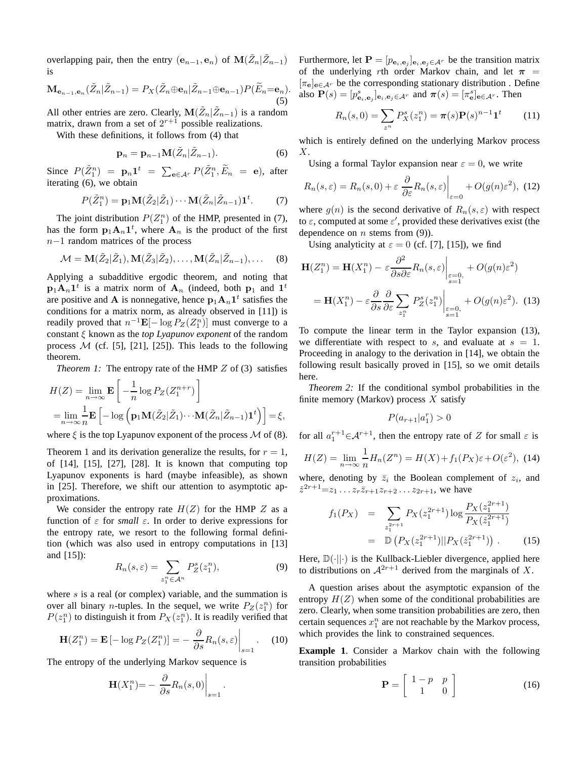overlapping pair, then the entry  $(e_{n-1}, e_n)$  of  $\mathbf{M}(\tilde{Z}_n | \tilde{Z}_{n-1})$ is

$$
\mathbf{M}_{\mathbf{e}_{n-1},\mathbf{e}_n}(\tilde{Z}_n|\tilde{Z}_{n-1}) = P_X(\tilde{Z}_n \oplus \mathbf{e}_n|\tilde{Z}_{n-1} \oplus \mathbf{e}_{n-1}) P(\tilde{E}_n = \mathbf{e}_n).
$$
\n(5)

All other entries are zero. Clearly,  $\mathbf{M}(\tilde{Z}_n | \tilde{Z}_{n-1})$  is a random matrix, drawn from a set of  $2^{r+1}$  possible realizations.

With these definitions, it follows from (4) that

$$
\mathbf{p}_n = \mathbf{p}_{n-1} \mathbf{M}(\tilde{Z}_n | \tilde{Z}_{n-1}).
$$
 (6)

Since  $P(\tilde{Z}_1^n) = \mathbf{p}_n \mathbf{1}^t = \sum_{\mathbf{e} \in \mathcal{A}^r} P(\tilde{Z}_1^n, \tilde{E}_n = \mathbf{e}), \text{ after}$ iterating (6), we obtain

$$
P(\tilde{Z}_1^n) = \mathbf{p}_1 \mathbf{M}(\tilde{Z}_2 | \tilde{Z}_1) \cdots \mathbf{M}(\tilde{Z}_n | \tilde{Z}_{n-1}) \mathbf{1}^t. \tag{7}
$$

The joint distribution  $P(Z_1^n)$  of the HMP, presented in (7), has the form  $p_1A_n1^t$ , where  $A_n$  is the product of the first n−1 random matrices of the process

$$
\mathcal{M} = \mathbf{M}(\tilde{Z}_2 | \tilde{Z}_1), \mathbf{M}(\tilde{Z}_3 | \tilde{Z}_2), \dots, \mathbf{M}(\tilde{Z}_n | \tilde{Z}_{n-1}), \dots
$$
 (8)

Applying a subadditive ergodic theorem, and noting that  $\mathbf{p}_1 \mathbf{A}_n \mathbf{1}^t$  is a matrix norm of  $\mathbf{A}_n$  (indeed, both  $\mathbf{p}_1$  and  $\mathbf{1}^t$ are positive and **A** is nonnegative, hence  $p_1A_n1^t$  satisfies the conditions for a matrix norm, as already observed in [11]) is readily proved that  $n^{-1} \mathbf{E}[-\log P_Z(Z_1^n)]$  must converge to a constant ξ known as the *top Lyapunov exponent* of the random process  $M$  (cf. [5], [21], [25]). This leads to the following theorem.

*Theorem 1:* The entropy rate of the HMP Z of (3) satisfies

$$
H(Z) = \lim_{n \to \infty} \mathbf{E} \left[ -\frac{1}{n} \log P_Z(Z_1^{n+r}) \right]
$$
  
= 
$$
\lim_{n \to \infty} \frac{1}{n} \mathbf{E} \left[ -\log \left( \mathbf{p}_1 \mathbf{M}(\tilde{Z}_2 | \tilde{Z}_1) \cdots \mathbf{M}(\tilde{Z}_n | \tilde{Z}_{n-1}) \mathbf{1}^t \right) \right] = \xi,
$$

where  $\xi$  is the top Lyapunov exponent of the process  $\mathcal M$  of (8).

Theorem 1 and its derivation generalize the results, for  $r = 1$ , of [14], [15], [27], [28]. It is known that computing top Lyapunov exponents is hard (maybe infeasible), as shown in [25]. Therefore, we shift our attention to asymptotic approximations.

We consider the entropy rate  $H(Z)$  for the HMP Z as a function of  $\varepsilon$  for *small*  $\varepsilon$ . In order to derive expressions for the entropy rate, we resort to the following formal definition (which was also used in entropy computations in [13] and [15]):

$$
R_n(s,\varepsilon) = \sum_{z_1^n \in \mathcal{A}^n} P_Z^s(z_1^n),\tag{9}
$$

.

where  $s$  is a real (or complex) variable, and the summation is over all binary *n*-tuples. In the sequel, we write  $P_Z(z_1^n)$  for  $P(z_1^n)$  to distinguish it from  $P_X(z_1^n)$ . It is readily verified that

$$
\mathbf{H}(Z_1^n) = \mathbf{E}\left[-\log P_Z(Z_1^n)\right] = -\left.\frac{\partial}{\partial s}R_n(s,\varepsilon)\right|_{s=1}.\tag{10}
$$

The entropy of the underlying Markov sequence is

$$
\mathbf{H}(X_1^n) = -\left. \frac{\partial}{\partial s} R_n(s, 0) \right|_{s=1}
$$

Furthermore, let  $\mathbf{P} = [p_{\mathbf{e}_i, \mathbf{e}_j}]_{\mathbf{e}_i, \mathbf{e}_j \in \mathcal{A}^r}$  be the transition matrix of the underlying rth order Markov chain, and let  $\pi$  =  $[\pi_{e}]_{e \in \mathcal{A}^r}$  be the corresponding stationary distribution . Define also  $\mathbf{P}(s) = [p_{\mathbf{e}_i,\mathbf{e}_j}^s]_{\mathbf{e}_i,\mathbf{e}_j \in \mathcal{A}^r}$  and  $\boldsymbol{\pi}(s) = [\pi_\mathbf{e}^s]_{\mathbf{e} \in \mathcal{A}^r}$ . Then

$$
R_n(s,0) = \sum_{z^n} P_X^s(z_1^n) = \pi(s) \mathbf{P}(s)^{n-1} \mathbf{1}^t \tag{11}
$$

which is entirely defined on the underlying Markov process  $X$ .

Using a formal Taylor expansion near  $\varepsilon = 0$ , we write

$$
R_n(s,\varepsilon) = R_n(s,0) + \varepsilon \left. \frac{\partial}{\partial \varepsilon} R_n(s,\varepsilon) \right|_{\varepsilon=0} + O(g(n)\varepsilon^2), \tag{12}
$$

where  $g(n)$  is the second derivative of  $R_n(s, \varepsilon)$  with respect to  $\varepsilon$ , computed at some  $\varepsilon'$ , provided these derivatives exist (the dependence on  $n$  stems from (9)).

Using analyticity at  $\varepsilon = 0$  (cf. [7], [15]), we find

$$
\mathbf{H}(Z_1^n) = \mathbf{H}(X_1^n) - \varepsilon \frac{\partial^2}{\partial s \partial \varepsilon} R_n(s, \varepsilon) \Big|_{\substack{\varepsilon = 0, \\ s = 1}} + O(g(n)\varepsilon^2)
$$

$$
= \mathbf{H}(X_1^n) - \varepsilon \frac{\partial}{\partial s} \frac{\partial}{\partial \varepsilon} \sum_{z_1^n} P_Z^s(z_1^n) \Big|_{\substack{\varepsilon = 0, \\ s = 1}} + O(g(n)\varepsilon^2). \tag{13}
$$

To compute the linear term in the Taylor expansion (13), we differentiate with respect to s, and evaluate at  $s = 1$ . Proceeding in analogy to the derivation in [14], we obtain the following result basically proved in [15], so we omit details here.

*Theorem 2:* If the conditional symbol probabilities in the finite memory (Markov) process  $X$  satisfy

$$
P(a_{r+1} | a_1^r) > 0
$$

for all  $a_1^{r+1} \in \mathcal{A}^{r+1}$ , then the entropy rate of Z for small  $\varepsilon$  is 1

$$
H(Z) = \lim_{n \to \infty} \frac{1}{n} H_n(Z^n) = H(X) + f_1(P_X)\varepsilon + O(\varepsilon^2), \tag{14}
$$

where, denoting by  $\bar{z}_i$  the Boolean complement of  $z_i$ , and  $\tilde{z}^{2r+1} = z_1 \dots z_r \overline{z}_{r+1} z_{r+2} \dots z_{2r+1}$ , we have

$$
f_1(P_X) = \sum_{z_1^{2r+1}} P_X(z_1^{2r+1}) \log \frac{P_X(z_1^{2r+1})}{P_X(z_1^{2r+1})}
$$
  
=  $\mathbb{D}\left(P_X(z_1^{2r+1})||P_X(z_1^{2r+1})\right)$ . (15)

Here,  $\mathbb{D}(\cdot||\cdot)$  is the Kullback-Liebler divergence, applied here to distributions on  $A^{2r+1}$  derived from the marginals of X.

A question arises about the asymptotic expansion of the entropy  $H(Z)$  when some of the conditional probabilities are zero. Clearly, when some transition probabilities are zero, then certain sequences  $x_1^n$  are not reachable by the Markov process, which provides the link to constrained sequences.

**Example 1**. Consider a Markov chain with the following transition probabilities

$$
\mathbf{P} = \left[ \begin{array}{cc} 1-p & p \\ 1 & 0 \end{array} \right] \tag{16}
$$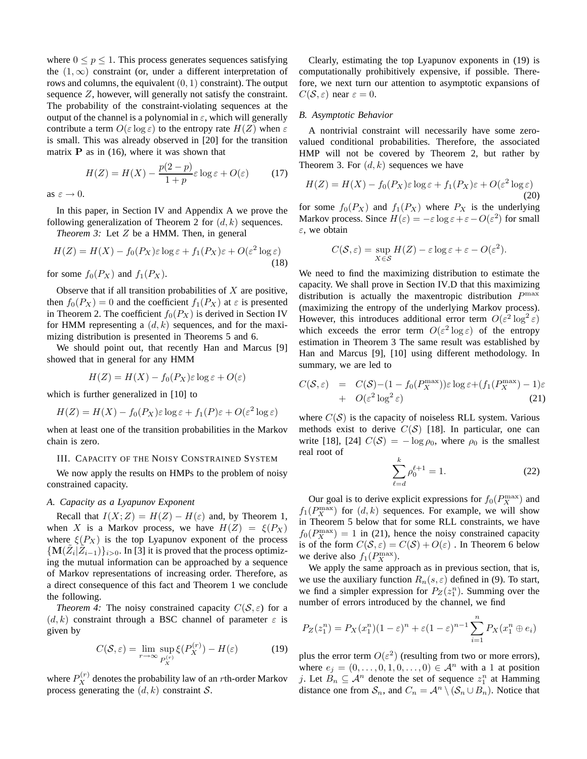where  $0 \leq p \leq 1$ . This process generates sequences satisfying the  $(1, \infty)$  constraint (or, under a different interpretation of rows and columns, the equivalent  $(0, 1)$  constraint). The output sequence Z, however, will generally not satisfy the constraint. The probability of the constraint-violating sequences at the output of the channel is a polynomial in  $\varepsilon$ , which will generally contribute a term  $O(\varepsilon \log \varepsilon)$  to the entropy rate  $H(Z)$  when  $\varepsilon$ is small. This was already observed in [20] for the transition matrix  $P$  as in (16), where it was shown that

$$
H(Z) = H(X) - \frac{p(2-p)}{1+p} \varepsilon \log \varepsilon + O(\varepsilon) \tag{17}
$$

as  $\varepsilon \to 0$ .

In this paper, in Section IV and Appendix A we prove the following generalization of Theorem 2 for  $(d, k)$  sequences.

*Theorem 3:* Let Z be a HMM. Then, in general

$$
H(Z) = H(X) - f_0(P_X)\varepsilon \log \varepsilon + f_1(P_X)\varepsilon + O(\varepsilon^2 \log \varepsilon)
$$
\n(18)

for some  $f_0(P_X)$  and  $f_1(P_X)$ .

Observe that if all transition probabilities of  $X$  are positive, then  $f_0(P_X) = 0$  and the coefficient  $f_1(P_X)$  at  $\varepsilon$  is presented in Theorem 2. The coefficient  $f_0(P_X)$  is derived in Section IV for HMM representing a  $(d, k)$  sequences, and for the maximizing distribution is presented in Theorems 5 and 6.

We should point out, that recently Han and Marcus [9] showed that in general for any HMM

$$
H(Z) = H(X) - f_0(P_X)\varepsilon \log \varepsilon + O(\varepsilon)
$$

which is further generalized in [10] to

$$
H(Z) = H(X) - f_0(P_X)\varepsilon \log \varepsilon + f_1(P)\varepsilon + O(\varepsilon^2 \log \varepsilon)
$$

when at least one of the transition probabilities in the Markov chain is zero.

# III. CAPACITY OF THE NOISY CONSTRAINED SYSTEM

We now apply the results on HMPs to the problem of noisy constrained capacity.

## *A. Capacity as a Lyapunov Exponent*

Recall that  $I(X;Z) = H(Z) - H(\varepsilon)$  and, by Theorem 1, when X is a Markov process, we have  $H(Z) = \xi(P_X)$ where  $\xi(P_X)$  is the top Lyapunov exponent of the process  $\{M(\tilde{Z}_i|\tilde{Z}_{i-1})\}_{i>0}$ . In [3] it is proved that the process optimizing the mutual information can be approached by a sequence of Markov representations of increasing order. Therefore, as a direct consequence of this fact and Theorem 1 we conclude the following.

*Theorem 4:* The noisy constrained capacity  $C(S, \varepsilon)$  for a  $(d, k)$  constraint through a BSC channel of parameter  $\varepsilon$  is given by

$$
C(S, \varepsilon) = \lim_{r \to \infty} \sup_{P_X^{(r)}} \xi(P_X^{(r)}) - H(\varepsilon)
$$
 (19)

where  $P_X^{(r)}$  denotes the probability law of an *r*th-order Markov process generating the  $(d, k)$  constraint S.

Clearly, estimating the top Lyapunov exponents in (19) is computationally prohibitively expensive, if possible. Therefore, we next turn our attention to asymptotic expansions of  $C(S, \varepsilon)$  near  $\varepsilon = 0$ .

# *B. Asymptotic Behavior*

A nontrivial constraint will necessarily have some zerovalued conditional probabilities. Therefore, the associated HMP will not be covered by Theorem 2, but rather by Theorem 3. For  $(d, k)$  sequences we have

$$
H(Z) = H(X) - f_0(P_X)\varepsilon \log \varepsilon + f_1(P_X)\varepsilon + O(\varepsilon^2 \log \varepsilon)
$$
\n(20)

for some  $f_0(P_X)$  and  $f_1(P_X)$  where  $P_X$  is the underlying Markov process. Since  $H(\varepsilon) = -\varepsilon \log \varepsilon + \varepsilon - O(\varepsilon^2)$  for small  $\varepsilon$ , we obtain

$$
C(S, \varepsilon) = \sup_{X \in \mathcal{S}} H(Z) - \varepsilon \log \varepsilon + \varepsilon - O(\varepsilon^2).
$$

We need to find the maximizing distribution to estimate the capacity. We shall prove in Section IV.D that this maximizing distribution is actually the maxentropic distribution  $P^{\max}$ (maximizing the entropy of the underlying Markov process). However, this introduces additional error term  $O(\varepsilon^2 \log^2 \varepsilon)$ which exceeds the error term  $O(\varepsilon^2 \log \varepsilon)$  of the entropy estimation in Theorem 3 The same result was established by Han and Marcus [9], [10] using different methodology. In summary, we are led to

$$
C(S, \varepsilon) = C(S) - (1 - f_0(P_X^{\max}))\varepsilon \log \varepsilon + (f_1(P_X^{\max}) - 1)\varepsilon + O(\varepsilon^2 \log^2 \varepsilon)
$$
 (21)

where  $C(S)$  is the capacity of noiseless RLL system. Various methods exist to derive  $C(S)$  [18]. In particular, one can write [18], [24]  $C(S) = -\log \rho_0$ , where  $\rho_0$  is the smallest real root of

$$
\sum_{\ell=d}^{k} \rho_0^{\ell+1} = 1.
$$
 (22)

Our goal is to derive explicit expressions for  $f_0(P_X^{\text{max}})$  and  $f_1(P_X^{\text{max}})$  for  $(d, k)$  sequences. For example, we will show in Theorem 5 below that for some RLL constraints, we have  $f_0(P_X^{\text{max}}) = 1$  in (21), hence the noisy constrained capacity is of the form  $C(S, \varepsilon) = C(S) + O(\varepsilon)$ . In Theorem 6 below we derive also  $f_1(P_X^{\text{max}})$ .

We apply the same approach as in previous section, that is, we use the auxiliary function  $R_n(s, \varepsilon)$  defined in (9). To start, we find a simpler expression for  $P_Z(z_1^n)$ . Summing over the number of errors introduced by the channel, we find

$$
P_Z(z_1^n) = P_X(x_1^n)(1 - \varepsilon)^n + \varepsilon (1 - \varepsilon)^{n-1} \sum_{i=1}^n P_X(x_1^n \oplus e_i)
$$

plus the error term  $O(\varepsilon^2)$  (resulting from two or more errors), where  $e_j = (0, \ldots, 0, 1, 0, \ldots, 0) \in \mathcal{A}^n$  with a 1 at position j. Let  $B_n \subseteq \mathcal{A}^n$  denote the set of sequence  $z_1^n$  at Hamming distance one from  $S_n$ , and  $C_n = \mathcal{A}^n \setminus (\mathcal{S}_n \cup B_n)$ . Notice that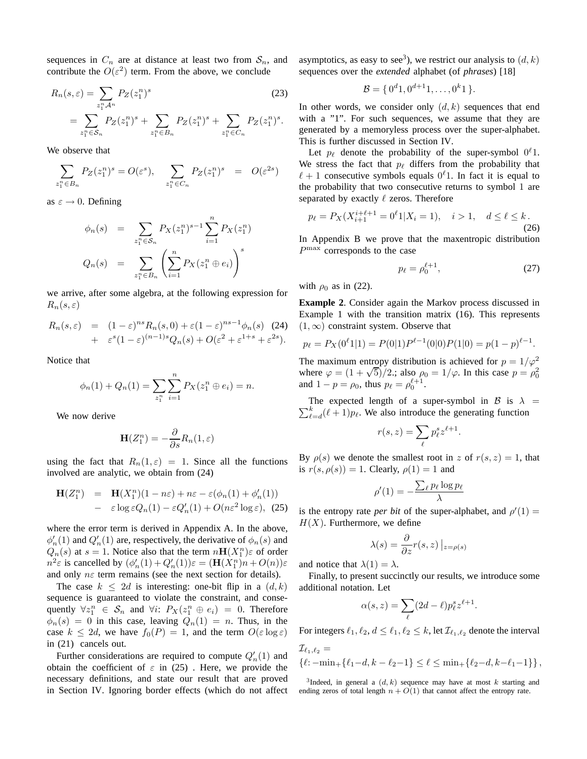sequences in  $C_n$  are at distance at least two from  $S_n$ , and contribute the  $O(\varepsilon^2)$  term. From the above, we conclude

$$
R_n(s, \varepsilon) = \sum_{z_1^n \mathcal{A}^n} P_Z(z_1^n)^s
$$
\n
$$
= \sum_{z_1^n \in \mathcal{S}_n} P_Z(z_1^n)^s + \sum_{z_1^n \in B_n} P_Z(z_1^n)^s + \sum_{z_1^n \in C_n} P_Z(z_1^n)^s.
$$
\n(23)

We observe that

$$
\sum_{z_1^n \in B_n} P_Z(z_1^n)^s = O(\varepsilon^s), \quad \sum_{z_1^n \in C_n} P_Z(z_1^n)^s = O(\varepsilon^{2s})
$$

as  $\varepsilon \to 0$ . Defining

$$
\phi_n(s) = \sum_{z_1^n \in S_n} P_X(z_1^n)^{s-1} \sum_{i=1}^n P_X(z_1^n)
$$
  

$$
Q_n(s) = \sum_{z_1^n \in B_n} \left( \sum_{i=1}^n P_X(z_1^n \oplus e_i) \right)^s
$$

we arrive, after some algebra, at the following expression for  $R_n(s,\varepsilon)$ 

$$
R_n(s,\varepsilon) = (1-\varepsilon)^{ns} R_n(s,0) + \varepsilon (1-\varepsilon)^{ns-1} \phi_n(s)
$$
 (24)  
+ 
$$
\varepsilon^s (1-\varepsilon)^{(n-1)s} Q_n(s) + O(\varepsilon^2 + \varepsilon^{1+s} + \varepsilon^{2s}).
$$

Notice that

$$
\phi_n(1) + Q_n(1) = \sum_{z_1^n} \sum_{i=1}^n P_X(z_1^n \oplus e_i) = n.
$$

We now derive

$$
\mathbf{H}(Z_1^n) = -\frac{\partial}{\partial s} R_n(1,\varepsilon)
$$

using the fact that  $R_n(1, \varepsilon) = 1$ . Since all the functions involved are analytic, we obtain from (24)

$$
\mathbf{H}(Z_1^n) = \mathbf{H}(X_1^n)(1 - n\varepsilon) + n\varepsilon - \varepsilon(\phi_n(1) + \phi'_n(1))
$$
  
-  $\varepsilon \log \varepsilon Q_n(1) - \varepsilon Q'_n(1) + O(n\varepsilon^2 \log \varepsilon),$  (25)

where the error term is derived in Appendix A. In the above,  $\phi'_n(1)$  and  $Q'_n(1)$  are, respectively, the derivative of  $\phi_n(s)$  and  $Q_n(s)$  at  $s = 1$ . Notice also that the term  $n\mathbf{H}(X_1^n)\varepsilon$  of order  $n^2 \varepsilon$  is cancelled by  $(\phi'_n(1) + Q'_n(1))\varepsilon = (\mathbf{H}(X_1^n)n + O(n))\varepsilon$ and only  $n\varepsilon$  term remains (see the next section for details).

The case  $k \leq 2d$  is interesting: one-bit flip in a  $(d, k)$ sequence is guaranteed to violate the constraint, and consequently  $\forall z_1^n \in S_n$  and  $\forall i$ :  $P_X(z_1^n \oplus e_i) = 0$ . Therefore  $\phi_n(s) = 0$  in this case, leaving  $Q_n(1) = n$ . Thus, in the case  $k \le 2d$ , we have  $f_0(P) = 1$ , and the term  $O(\varepsilon \log \varepsilon)$ in (21) cancels out.

Further considerations are required to compute  $Q'_n(1)$  and obtain the coefficient of  $\varepsilon$  in (25). Here, we provide the necessary definitions, and state our result that are proved in Section IV. Ignoring border effects (which do not affect asymptotics, as easy to see<sup>3</sup>), we restrict our analysis to  $(d, k)$ sequences over the *extended* alphabet (of *phrases*) [18]

$$
\mathcal{B} = \{0^d 1, 0^{d+1} 1, \dots, 0^k 1\}.
$$

In other words, we consider only  $(d, k)$  sequences that end with a "1". For such sequences, we assume that they are generated by a memoryless process over the super-alphabet. This is further discussed in Section IV.

Let  $p_\ell$  denote the probability of the super-symbol  $0^\ell 1$ . We stress the fact that  $p_\ell$  differs from the probability that  $\ell + 1$  consecutive symbols equals  $0^{\ell}$ 1. In fact it is equal to the probability that two consecutive returns to symbol 1 are separated by exactly  $\ell$  zeros. Therefore

$$
p_{\ell} = P_X(X_{i+1}^{i+\ell+1} = 0^{\ell}1 | X_i = 1), \quad i > 1, \quad d \le \ell \le k.
$$
\n(26)

In Appendix B we prove that the maxentropic distribution P max corresponds to the case

$$
p_{\ell} = \rho_0^{\ell+1},\tag{27}
$$

with  $\rho_0$  as in (22).

**Example 2**. Consider again the Markov process discussed in Example 1 with the transition matrix (16). This represents  $(1, \infty)$  constraint system. Observe that

$$
p_{\ell} = P_X(0^{\ell}1|1) = P(0|1)P^{\ell-1}(0|0)P(1|0) = p(1-p)^{\ell-1}.
$$

The maximum entropy distribution is achieved for  $p = 1/\varphi^2$ where  $\varphi = (1 + \sqrt{5})/2$ ; also  $\rho_0 = 1/\varphi$ . In this case  $p = \rho_0^2$ <br>and  $1 - p = \rho_0$ , thus  $p_\ell = \rho_0^{\ell+1}$ .

 $\sum_{\ell}^{k}$ The expected length of a super-symbol in B is  $\lambda$  =  $\int_{\ell=d}^{\kappa}(\ell+1)p_{\ell}$ . We also introduce the generating function

$$
r(s,z) = \sum_{\ell} p_{\ell}^s z^{\ell+1}.
$$

By  $\rho(s)$  we denote the smallest root in z of  $r(s, z) = 1$ , that is  $r(s, \rho(s)) = 1$ . Clearly,  $\rho(1) = 1$  and

$$
\rho'(1) = -\frac{\sum_{\ell} p_{\ell} \log p_{\ell}}{\lambda}
$$

is the entropy rate *per bit* of the super-alphabet, and  $\rho'(1) =$  $H(X)$ . Furthermore, we define

$$
\lambda(s) = \frac{\partial}{\partial z} r(s, z) \left|_{z = \rho(s)}
$$

and notice that  $\lambda(1) = \lambda$ .

Finally, to present succinctly our results, we introduce some additional notation. Let

$$
\alpha(s, z) = \sum_{\ell} (2d - \ell) p_{\ell}^{s} z^{\ell+1}.
$$

For integers  $\ell_1, \ell_2, d \leq \ell_1, \ell_2 \leq k$ , let  $\mathcal{I}_{\ell_1, \ell_2}$  denote the interval

$$
\mathcal{I}_{\ell_1,\ell_2} = \left\{ \ell: -\min_+\{ \ell_1 - d, k - \ell_2 - 1 \} \le \ell \le \min_+\{ \ell_2 - d, k - \ell_1 - 1 \} \right\},\,
$$

<sup>3</sup>Indeed, in general a  $(d, k)$  sequence may have at most k starting and ending zeros of total length  $n + O(1)$  that cannot affect the entropy rate.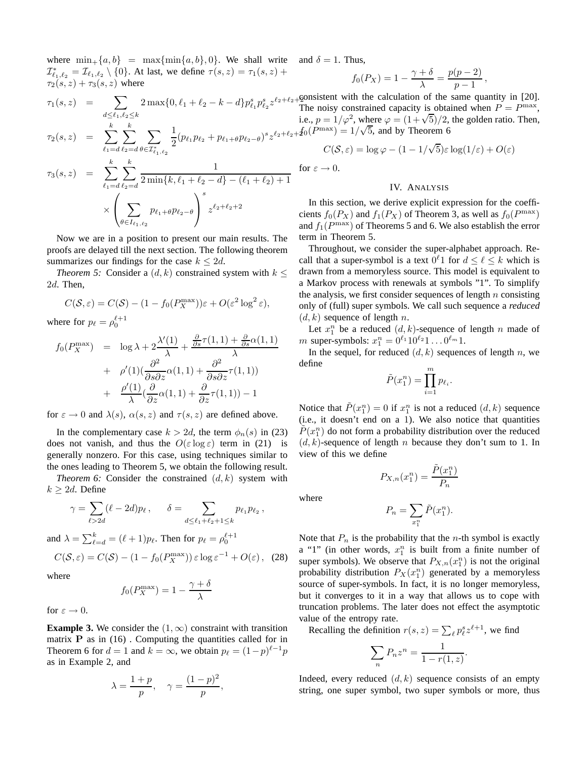where  $\min_{+} \{a, b\} = \max\{\min\{a, b\}, 0\}$ . We shall write  $\mathcal{I}_{\ell_1,\ell_2}^* = \mathcal{I}_{\ell_1,\ell_2} \setminus \{0\}$ . At last, we define  $\tau(s,z) = \tau_1(s,z) + \tau_2(s,z)$  $\tau_2(s, z) + \tau_3(s, z)$  where

$$
\tau_1(s, z) = \sum_{d \leq \ell_1, \ell_2 \leq k} 2 \max\{0, \ell_1 + \ell_2 - k - d\} p_{\ell_1}^s p_{\ell_2}^s z^{\ell_2 + 1}
$$

$$
\tau_2(s,z) = \sum_{\ell_1=d}^k \sum_{\ell_2=d}^k \sum_{\theta \in \mathcal{I}_{\ell_1,\ell_2}^*} \frac{1}{2} (p_{\ell_1} p_{\ell_2} + p_{\ell_1+\theta} p_{\ell_2-\theta})
$$

$$
\tau_3(s, z) = \sum_{\ell_1 = d}^{k} \sum_{\ell_2 = d}^{k} \frac{1}{2 \min\{k, \ell_1 + \ell_2 - d\} - (\ell_1 + \ell_2) + 1}
$$

$$
\times \left( \sum_{\theta \in I_{\ell_1, \ell_2}} p_{\ell_1 + \theta} p_{\ell_2 - \theta} \right)^s z^{\ell_2 + \ell_2 + 2}
$$

Now we are in a position to present our main results. The proofs are delayed till the next section. The following theorem summarizes our findings for the case  $k \leq 2d$ .

*Theorem 5:* Consider a  $(d, k)$  constrained system with  $k \leq$ 2d. Then,

$$
C(S, \varepsilon) = C(S) - (1 - f_0(P_X^{\max}))\varepsilon + O(\varepsilon^2 \log^2 \varepsilon),
$$

where for  $p_{\ell} = \rho_0^{\ell+1}$ 

$$
f_0(P_X^{\max}) = \log \lambda + 2\frac{\lambda'(1)}{\lambda} + \frac{\frac{\partial}{\partial s}\tau(1,1) + \frac{\partial}{\partial s}\alpha(1,1)}{\lambda}
$$
  
+ 
$$
\rho'(1)(\frac{\partial^2}{\partial s \partial z}\alpha(1,1) + \frac{\partial^2}{\partial s \partial z}\tau(1,1))
$$
  
+ 
$$
\frac{\rho'(1)}{\lambda}(\frac{\partial}{\partial z}\alpha(1,1) + \frac{\partial}{\partial z}\tau(1,1)) - 1
$$

for  $\varepsilon \to 0$  and  $\lambda(s)$ ,  $\alpha(s, z)$  and  $\tau(s, z)$  are defined above.

In the complementary case  $k > 2d$ , the term  $\phi_n(s)$  in (23) does not vanish, and thus the  $O(\varepsilon \log \varepsilon)$  term in (21) is generally nonzero. For this case, using techniques similar to the ones leading to Theorem 5, we obtain the following result.

*Theorem 6:* Consider the constrained  $(d, k)$  system with  $k \geq 2d$ . Define

$$
\gamma = \sum_{\ell > 2d} (\ell - 2d)p_{\ell}, \qquad \delta = \sum_{d \leq \ell_1 + \ell_2 + 1 \leq k} p_{\ell_1} p_{\ell_2},
$$

and 
$$
\lambda = \sum_{\ell=d}^{k} = (\ell+1)p_{\ell}
$$
. Then for  $p_{\ell} = \rho_0^{\ell+1}$   

$$
C(S, \varepsilon) = C(S) - (1 - f_0(P_X^{\max})) \varepsilon \log \varepsilon^{-1} + O(\varepsilon), \quad (28)
$$

where

$$
f_0(P_X^{\max}) = 1 - \frac{\gamma + \delta}{\lambda}
$$

for  $\varepsilon \to 0$ .

**Example 3.** We consider the  $(1, \infty)$  constraint with transition matrix  $P$  as in (16). Computing the quantities called for in Theorem 6 for  $d = 1$  and  $k = \infty$ , we obtain  $p_{\ell} = (1-p)^{\ell-1}p$ as in Example 2, and

$$
\lambda = \frac{1+p}{p}, \quad \gamma = \frac{(1-p)^2}{p},
$$

and  $\delta = 1$ . Thus,

for  $\varepsilon$ 

$$
f_0(P_X) = 1 - \frac{\gamma + \delta}{\lambda} = \frac{p(p-2)}{p-1},
$$

 $\ell_2+\ell_2+2$  $s_{z^{\ell_2+\ell_2+\textit{f}_0(P^{\text{max}})}} = 1/\sqrt{5}$ , and by Theorem 6 consistent with the calculation of the same quantity in [20]. The noisy constrained capacity is obtained when  $P = P^{\max}$ , i.e.,  $p = 1/\varphi^2$ , where  $\varphi = (1 + \sqrt{5})/2$ , the golden ratio. Then,

$$
C(S, \varepsilon) = \log \varphi - (1 - 1/\sqrt{5})\varepsilon \log(1/\varepsilon) + O(\varepsilon)
$$
  

$$
\to 0.
$$

## IV. ANALYSIS

In this section, we derive explicit expression for the coefficients  $f_0(P_X)$  and  $f_1(P_X)$  of Theorem 3, as well as  $f_0(P^{\max})$ and  $f_1(P^{\max})$  of Theorems 5 and 6. We also establish the error term in Theorem 5.

Throughout, we consider the super-alphabet approach. Recall that a super-symbol is a text  $0^{\ell}$ 1 for  $d \leq \ell \leq k$  which is drawn from a memoryless source. This model is equivalent to a Markov process with renewals at symbols "1". To simplify the analysis, we first consider sequences of length  $n$  consisting only of (full) super symbols. We call such sequence a *reduced*  $(d, k)$  sequence of length n.

Let  $x_1^n$  be a reduced  $(d, k)$ -sequence of length n made of *m* super-symbols:  $x_1^n = 0^{\ell_1} 10^{\ell_2} 1 \dots 0^{\ell_m} 1$ .

In the sequel, for reduced  $(d, k)$  sequences of length n, we define

$$
\tilde{P}(x_1^n) = \prod_{i=1}^m p_{\ell_i}.
$$

Notice that  $\tilde{P}(x_1^n) = 0$  if  $x_1^n$  is not a reduced  $(d, k)$  sequence (i.e., it doesn't end on a 1). We also notice that quantities  $\tilde{P}(x_1^n)$  do not form a probability distribution over the reduced  $(d, k)$ -sequence of length *n* because they don't sum to 1. In view of this we define

$$
P_{X,n}(x_1^n) = \frac{\tilde{P}(x_1^n)}{P_n}
$$

where

$$
P_n = \sum_{x_1^n} \tilde{P}(x_1^n).
$$

Note that  $P_n$  is the probability that the *n*-th symbol is exactly a "1" (in other words,  $x_1^n$  is built from a finite number of super symbols). We observe that  $P_{X,n}(x_1^n)$  is not the original probability distribution  $P_X(x_1^n)$  generated by a memoryless source of super-symbols. In fact, it is no longer memoryless, but it converges to it in a way that allows us to cope with truncation problems. The later does not effect the asymptotic value of the entropy rate.

Recalling the definition  $r(s, z) = \sum_{\ell} p_{\ell}^{s} z^{\ell+1}$ , we find

$$
\sum_{n} P_n z^n = \frac{1}{1 - r(1, z)}.
$$

Indeed, every reduced  $(d, k)$  sequence consists of an empty string, one super symbol, two super symbols or more, thus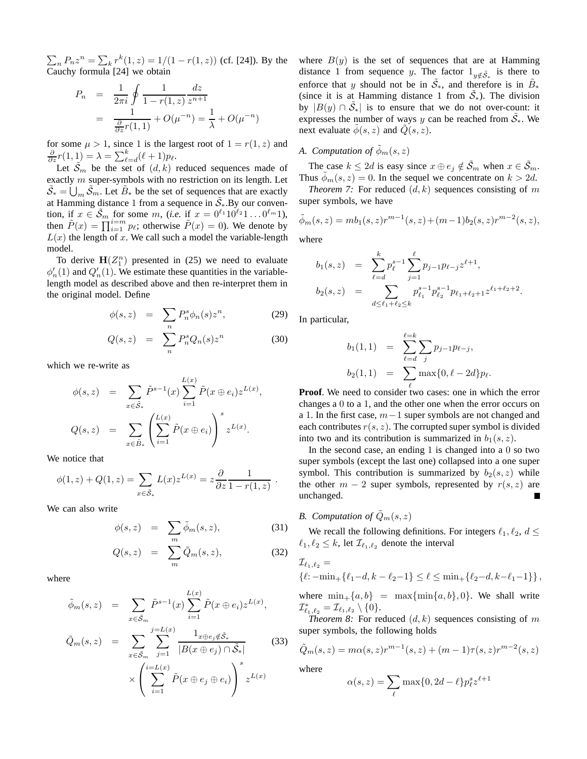$\sum_{n} P_n z^n = \sum_{k} r^k (1, z) = 1/(1 - r(1, z))$  (cf. [24]). By the Cauchy formula [24] we obtain

$$
P_n = \frac{1}{2\pi i} \oint \frac{1}{1 - r(1, z)} \frac{dz}{z^{n+1}}
$$
  
= 
$$
\frac{1}{\frac{\partial}{\partial z} r(1, 1)} + O(\mu^{-n}) = \frac{1}{\lambda} + O(\mu^{-n})
$$

for some  $\mu > 1$ , since 1 is the largest root of  $1 = r(1, z)$  and  $\frac{\partial}{\partial z}r(1,1) = \lambda = \sum_{\ell=d}^{k}(\ell+1)p_{\ell}.$ 

Let  $\tilde{S}_m$  be the set of  $(d, k)$  reduced sequences made of exactly m super-symbols with no restriction on its length. Let  $\tilde{S}_* = \bigcup_m \tilde{S}_m$ . Let  $\tilde{B}_*$  be the set of sequences that are exactly at Hamming distance 1 from a sequence in  $\tilde{S}_*$ . By our convention, if  $x \in \tilde{\mathcal{S}}_m$  for some  $m$ , (*i.e.* if  $x = 0^{\ell_1} 10^{\ell_2} 1 \dots 0^{\ell_m} 1$ ), then  $\tilde{P}(x) = \prod_{i=1}^{i=m} p_{\ell}$ ; otherwise  $\tilde{P}(x) = 0$ ). We denote by  $L(x)$  the length of x. We call such a model the variable-length model.

To derive  $H(Z_1^n)$  presented in (25) we need to evaluate  $\phi'_n(1)$  and  $Q'_n(1)$ . We estimate these quantities in the variablelength model as described above and then re-interpret them in the original model. Define

$$
\phi(s, z) = \sum_{n} P_n^s \phi_n(s) z^n, \tag{29}
$$

$$
Q(s,z) = \sum_{n} P_n^s Q_n(s) z^n \tag{30}
$$

which we re-write as

$$
\phi(s, z) = \sum_{x \in \tilde{S}_*} \tilde{P}^{s-1}(x) \sum_{i=1}^{L(x)} \tilde{P}(x \oplus e_i) z^{L(x)},
$$
  

$$
Q(s, z) = \sum_{x \in \tilde{B}_*} \left( \sum_{i=1}^{L(x)} \tilde{P}(x \oplus e_i) \right)^s z^{L(x)}.
$$

We notice that

$$
\phi(1, z) + Q(1, z) = \sum_{x \in \tilde{S}_*} L(x) z^{L(x)} = z \frac{\partial}{\partial z} \frac{1}{1 - r(1, z)}.
$$

We can also write

$$
\phi(s, z) = \sum_{m} \tilde{\phi}_m(s, z), \tag{31}
$$

$$
Q(s,z) = \sum_{m} \tilde{Q}_m(s,z), \qquad (32)
$$

where

$$
\tilde{\phi}_m(s, z) = \sum_{x \in \tilde{S}_m} \tilde{P}^{s-1}(x) \sum_{i=1}^{L(x)} \tilde{P}(x \oplus e_i) z^{L(x)},
$$

$$
\tilde{Q}_m(s, z) = \sum_{x \in \tilde{S}_m} \sum_{j=1}^{j=L(x)} \frac{1_{x \oplus e_j \notin \tilde{S}_*}}{|B(x \oplus e_j) \cap \tilde{S}_*|}
$$
(33)
$$
\times \left( \sum_{i=1}^{i=L(x)} \tilde{P}(x \oplus e_j \oplus e_i) \right)^s z^{L(x)}
$$

where  $B(y)$  is the set of sequences that are at Hamming distance 1 from sequence y. The factor  $1_{y \notin \tilde{S}_*}$  is there to enforce that y should not be in  $\tilde{S}_*$ , and therefore is in  $\tilde{B}_*$ (since it is at Hamming distance 1 from  $\tilde{S}_*$ ). The division by  $|B(y) \cap \tilde{S}_*|$  is to ensure that we do not over-count: it expresses the number of ways y can be reached from  $\tilde{S}_*$ . We next evaluate  $\phi(s, z)$  and  $Q(s, z)$ .

# *A. Computation of*  $\tilde{\phi}_m(s, z)$

The case  $k \le 2d$  is easy since  $x \oplus e_j \notin \tilde{S}_m$  when  $x \in \tilde{S}_m$ . Thus  $\phi_m(s, z) = 0$ . In the sequel we concentrate on  $k > 2d$ .

*Theorem 7:* For reduced  $(d, k)$  sequences consisting of m super symbols, we have

$$
\tilde{\phi}_m(s, z) = mb_1(s, z)r^{m-1}(s, z) + (m-1)b_2(s, z)r^{m-2}(s, z),
$$

where

$$
b_1(s, z) = \sum_{\ell=d}^k p_{\ell}^{s-1} \sum_{j=1}^{\ell} p_{j-1} p_{\ell-j} z^{\ell+1},
$$
  

$$
b_2(s, z) = \sum_{d \le \ell_1 + \ell_2 \le k} p_{\ell_1}^{s-1} p_{\ell_2}^{s-1} p_{\ell_1 + \ell_2 + 1} z^{\ell_1 + \ell_2 + 2}.
$$

In particular,

$$
b_1(1,1) = \sum_{\ell=d}^{\ell=k} \sum_j p_{j-1} p_{\ell-j},
$$
  
\n
$$
b_2(1,1) = \sum_{\ell} \max\{0,\ell-2d\} p_{\ell}.
$$

**Proof**. We need to consider two cases: one in which the error changes a 0 to a 1, and the other one when the error occurs on a 1. In the first case, m−1 super symbols are not changed and each contributes  $r(s, z)$ . The corrupted super symbol is divided into two and its contribution is summarized in  $b_1(s, z)$ .

In the second case, an ending  $1$  is changed into a  $0$  so two super symbols (except the last one) collapsed into a one super symbol. This contribution is summarized by  $b_2(s, z)$  while the other  $m - 2$  super symbols, represented by  $r(s, z)$  are unchanged.

*B.* Computation of  $\tilde{Q}_m(s, z)$ 

We recall the following definitions. For integers  $\ell_1, \ell_2, d \leq$  $\ell_1, \ell_2 \leq k$ , let  $\mathcal{I}_{\ell_1, \ell_2}$  denote the interval

$$
\mathcal{I}_{\ell_1,\ell_2} = \{ \ell: -\min_+ \{ \ell_1 - d, k - \ell_2 - 1 \} \le \ell \le \min_+ \{ \ell_2 - d, k - \ell_1 - 1 \} \},
$$

where  $\min_{+} \{a, b\}$  =  $\max{\min\{a, b\}, 0\}$ . We shall write  ${\cal I}^*_{\ell_1,\ell_2}={\cal I}_{\ell_1,\ell_2}\setminus\{0\}.$ 

*Theorem 8:* For reduced  $(d, k)$  sequences consisting of m super symbols, the following holds

$$
\tilde{Q}_m(s, z) = m\alpha(s, z)r^{m-1}(s, z) + (m - 1)\tau(s, z)r^{m-2}(s, z)
$$

where

$$
\alpha(s, z) = \sum_{\ell} \max\{0, 2d - \ell\} p_{\ell}^s z^{\ell+1}
$$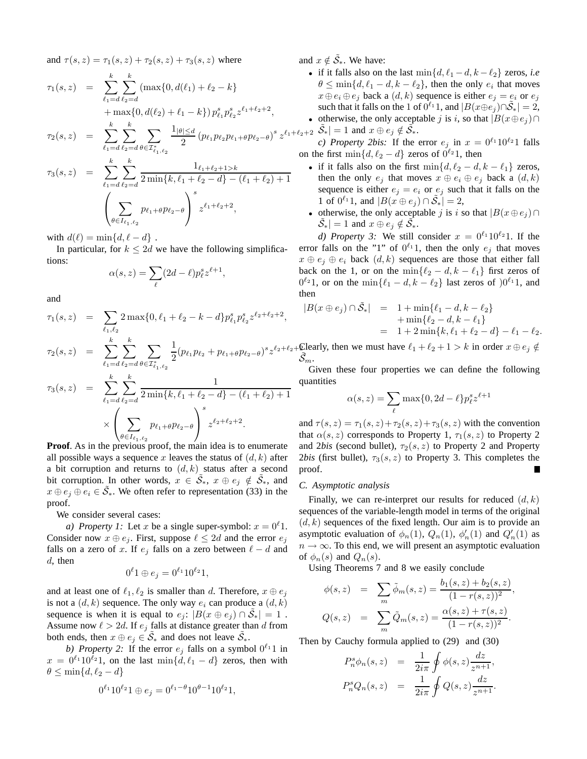and  $\tau(s, z) = \tau_1(s, z) + \tau_2(s, z) + \tau_3(s, z)$  where

$$
\tau_1(s, z) = \sum_{\ell_1=d}^k \sum_{\ell_2=d}^k (\max\{0, d(\ell_1) + \ell_2 - k\} + \max\{0, d(\ell_2) + \ell_1 - k\}) p_{\ell_1}^s p_{\ell_2}^s z^{\ell_1 + \ell_2 + 2},
$$

$$
\tau_2(s, z) = \sum_{\ell_1 = d}^{\kappa} \sum_{\ell_2 = d}^{\kappa} \sum_{\theta \in \mathcal{I}_{\ell_1, \ell_2}^*} \frac{1_{|\theta| \le d}}{2} \left( p_{\ell_1} p_{\ell_2} p_{\ell_1 + \theta} p_{\ell_2 - \theta} \right)^s z^{\ell_1 + \ell}
$$

$$
\tau_3(s, z) = \sum_{\ell_1=d}^k \sum_{\ell_2=d}^k \frac{1_{\ell_1+\ell_2+1>k}}{2 \min\{k, \ell_1+\ell_2-d\} - (\ell_1+\ell_2)+1}
$$

$$
\left(\sum_{\theta \in I_{\ell_1,\ell_2}} p_{\ell_1+\theta} p_{\ell_2-\theta}\right)^s z^{\ell_1+\ell_2+2},
$$

with  $d(\ell) = \min\{d, \ell - d\}$ .

In particular, for  $k \leq 2d$  we have the following simplifications:

$$
\alpha(s, z) = \sum_{\ell} (2d - \ell) p_{\ell}^s z^{\ell+1},
$$

and

$$
\tau_1(s, z) = \sum_{\ell_1, \ell_2} 2 \max\{0, \ell_1 + \ell_2 - k - d\} p_{\ell_1}^s p_{\ell_2}^s z^{\ell_2 + \ell_2 + 2},
$$
  

$$
\tau_2(s, z) = \sum_{\ell_1 = d}^k \sum_{\ell_2 = d}^k \sum_{\theta \in \mathcal{I}_{\ell_1, \ell_2}^*} \frac{1}{2} (p_{\ell_1} p_{\ell_2} + p_{\ell_1 + \theta} p_{\ell_2 - \theta})^s z^{\ell_2 + \ell_2 + \ell_1 + \theta} z^{\ell_1 + \theta} z^{\ell_2 + \theta} z^{\ell_1 + \theta} z^{\ell_2 + \theta} z^{\ell_1 + \theta} z^{\ell_2 + \theta} z^{\ell_1 + \theta} z^{\ell_2 + \theta} z^{\ell_1 + \theta} z^{\ell_2 + \theta} z^{\ell_1 + \theta} z^{\ell_2 + \theta} z^{\ell_1 + \theta} z^{\ell_2 + \theta} z^{\ell_1 + \theta} z^{\ell_1 + \theta} z^{\ell_2 + \theta} z^{\ell_1 + \theta} z^{\ell_2 + \theta} z^{\ell_1 + \theta} z^{\ell_1 + \theta} z^{\ell_2 + \theta} z^{\ell_1 + \theta} z^{\ell_2 + \theta} z^{\ell_1 + \theta} z^{\ell_2 + \theta} z^{\ell_1 + \theta} z^{\ell_1 + \theta} z^{\ell_2 + \theta} z^{\ell_1 + \theta} z^{\ell_1 + \theta} z^{\ell_2 + \theta} z^{\ell_1 + \theta} z^{\ell_1 + \theta} z^{\ell_2 + \theta} z^{\ell_1 + \theta} z^{\ell_1 + \theta} z^{\ell_2 + \theta} z^{\ell_1 + \theta} z^{\ell_1 + \theta} z^{\ell_2 + \theta} z^{\ell_1 + \theta} z^{\ell_1 + \theta} z^{\ell_2 + \theta} z^{\ell_1 + \theta} z^{\ell_1 + \theta} z^{\ell_2 + \theta} z^{\ell_1 + \theta} z^{\ell_1 + \theta} z^{\ell_1 + \theta} z^{\ell_2 + \theta} z^{\ell_1 + \theta} z^{\ell_1 + \theta} z^{\ell_2 + \theta} z^{\ell_1 + \theta
$$

$$
\tau_3(s, z) = \sum_{\ell_1=d}^k \sum_{\ell_2=d}^k \frac{1}{2 \min\{k, \ell_1 + \ell_2 - d\} - (\ell_1 + \ell_2) + 1}
$$

$$
\times \left( \sum_{\theta \in I_{\ell_1, \ell_2}} p_{\ell_1 + \theta} p_{\ell_2 - \theta} \right)^s z^{\ell_2 + \ell_2 + 2}.
$$

**Proof**. As in the previous proof, the main idea is to enumerate all possible ways a sequence x leaves the status of  $(d, k)$  after a bit corruption and returns to  $(d, k)$  status after a second bit corruption. In other words,  $x \in \tilde{S}_*, x \oplus e_j \notin \tilde{S}_*,$  and  $x \oplus e_j \oplus e_i \in \tilde{S}_*$ . We often refer to representation (33) in the proof.

We consider several cases:

*a) Property 1:* Let x be a single super-symbol:  $x = 0^{\ell}1$ . Consider now  $x \oplus e_j$ . First, suppose  $\ell \leq 2d$  and the error  $e_j$ falls on a zero of x. If  $e_j$  falls on a zero between  $\ell - d$  and  $d$ , then

$$
0^{\ell}1 \oplus e_j = 0^{\ell_1}10^{\ell_2}1,
$$

and at least one of  $\ell_1, \ell_2$  is smaller than d. Therefore,  $x \oplus e_i$ is not a  $(d, k)$  sequence. The only way  $e_i$  can produce a  $(d, k)$ sequence is when it is equal to  $e_j$ :  $|B(x \oplus e_j) \cap \tilde{S}_*| = 1$ . Assume now  $\ell > 2d$ . If  $e_j$  falls at distance greater than d from both ends, then  $x \oplus e_j \in \widetilde{S}_*$  and does not leave  $\widetilde{S}_*$ .

b) Property 2: If the error  $e_j$  falls on a symbol  $0^{\ell_1}1$  in  $x = 0^{l_1} 10^{l_2} 1$ , on the last min $\{d, l_1 - d\}$  zeros, then with  $\theta \leq \min\{d, \ell_2 - d\}$ 

$$
0^{\ell_1} 10^{\ell_2} 1 \oplus e_j = 0^{\ell_1 - \theta} 10^{\theta - 1} 10^{\ell_2} 1,
$$

and  $x \notin \tilde{S}_*$ . We have:

- if it falls also on the last  $\min\{d, \ell_1 d, k \ell_2\}$  zeros, *i.e*  $\theta \le \min\{d, \ell_1 - d, k - \ell_2\}$ , then the only  $e_i$  that moves  $x \oplus e_i \oplus e_j$  back a  $(d, k)$  sequence is either  $e_j = e_i$  or  $e_j$ such that it falls on the 1 of  $0^{\ell_1}1$ , and  $|B(x \oplus e_j) \cap \tilde{S}_*| = 2$ ,
- $\ell_{1}+\ell_{2}+2 \widetilde{S}_{*}|=1$  and  $x \oplus e_{j} \notin \widetilde{S}_{*}$ . • otherwise, the only acceptable j is i, so that  $|B(x \oplus e_i) \cap$

*c)* Property 2bis: If the error  $e_i$  in  $x = 0^{l_1} 10^{l_2} 1$  falls on the first  $\min\{d, \ell_2 - d\}$  zeros of  $0^{\ell_2}$ 1, then

- if it falls also on the first  $\min\{d, \ell_2 d, k \ell_1\}$  zeros, then the only  $e_j$  that moves  $x \oplus e_i \oplus e_j$  back a  $(d, k)$ sequence is either  $e_j = e_i$  or  $e_j$  such that it falls on the 1 of  $0^{\ell_1}1$ , and  $|B(x \oplus e_j) \cap \tilde{S}_*| = 2$ ,
- otherwise, the only acceptable j is i so that  $|B(x \oplus e_i) \cap$  $|\tilde{\mathcal{S}}_*| = 1$  and  $x \oplus e_j \notin \tilde{\mathcal{S}}_*$ .

*d) Property 3:* We still consider  $x = 0^{l_1}10^{l_2}1$ . If the error falls on the "1" of  $0^{\ell_1}1$ , then the only  $e_j$  that moves  $x \oplus e_i \oplus e_i$  back  $(d, k)$  sequences are those that either fall back on the 1, or on the min $\{\ell_2 - d, k - \ell_1\}$  first zeros of  $0^{\ell_2}1$ , or on the min $\{\ell_1 - d, k - \ell_2\}$  last zeros of  $0^{\ell_1}1$ , and then

$$
|B(x \oplus e_j) \cap \tilde{S}_*| = 1 + \min\{\ell_1 - d, k - \ell_2\} + \min\{\ell_2 - d, k - \ell_1\} = 1 + 2 \min\{k, \ell_1 + \ell_2 - d\} - \ell_1 - \ell_2.
$$

 $\ell_2+\ell_2+\mathbb{C}$  learly, then we must have  $\ell_1+\ell_2+1 > k$  in order  $x \oplus e_j \notin$  $S_m$ .

Given these four properties we can define the following quantities

$$
\alpha(s, z) = \sum_{\ell} \max\{0, 2d - \ell\} p_{\ell}^{s} z^{\ell+1}
$$

and  $\tau(s, z) = \tau_1(s, z) + \tau_2(s, z) + \tau_3(s, z)$  with the convention that  $\alpha(s, z)$  corresponds to Property 1,  $\tau_1(s, z)$  to Property 2 and 2*bis* (second bullet),  $\tau_2(s, z)$  to Property 2 and Property 2*bis* (first bullet),  $\tau_3(s, z)$  to Property 3. This completes the proof.

# *C. Asymptotic analysis*

Finally, we can re-interpret our results for reduced  $(d, k)$ sequences of the variable-length model in terms of the original  $(d, k)$  sequences of the fixed length. Our aim is to provide an asymptotic evaluation of  $\phi_n(1)$ ,  $Q_n(1)$ ,  $\phi'_n(1)$  and  $Q'_n(1)$  as  $n \to \infty$ . To this end, we will present an asymptotic evaluation of  $\phi_n(s)$  and  $Q_n(s)$ .

Using Theorems 7 and 8 we easily conclude

$$
\phi(s, z) = \sum_{m} \tilde{\phi}_{m}(s, z) = \frac{b_{1}(s, z) + b_{2}(s, z)}{(1 - r(s, z))^{2}},
$$
  

$$
Q(s, z) = \sum_{m} \tilde{Q}_{m}(s, z) = \frac{\alpha(s, z) + \tau(s, z)}{(1 - r(s, z))^{2}}.
$$

Then by Cauchy formula applied to (29) and (30)

$$
P_n^s \phi_n(s, z) = \frac{1}{2i\pi} \oint \phi(s, z) \frac{dz}{z^{n+1}},
$$
  

$$
P_n^s Q_n(s, z) = \frac{1}{2i\pi} \oint Q(s, z) \frac{dz}{z^{n+1}}.
$$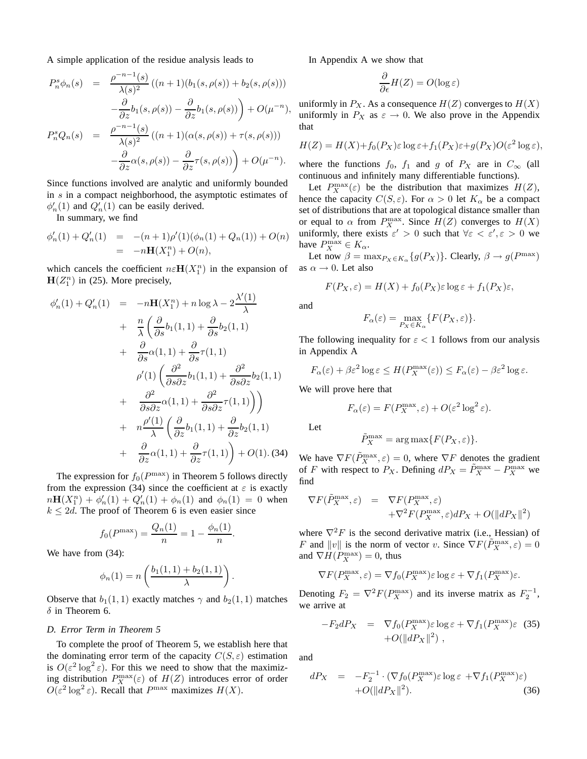A simple application of the residue analysis leads to

$$
P_n^s \phi_n(s) = \frac{\rho^{-n-1}(s)}{\lambda(s)^2} ((n+1)(b_1(s, \rho(s)) + b_2(s, \rho(s)))
$$
  

$$
-\frac{\partial}{\partial z} b_1(s, \rho(s)) - \frac{\partial}{\partial z} b_1(s, \rho(s)) + O(\mu^{-n}),
$$
  

$$
P_n^s Q_n(s) = \frac{\rho^{-n-1}(s)}{\lambda(s)^2} ((n+1)(\alpha(s, \rho(s)) + \tau(s, \rho(s)))
$$
  

$$
-\frac{\partial}{\partial z} \alpha(s, \rho(s)) - \frac{\partial}{\partial z} \tau(s, \rho(s)) + O(\mu^{-n}).
$$

Since functions involved are analytic and uniformly bounded in s in a compact neighborhood, the asymptotic estimates of  $\phi'_n(1)$  and  $Q'_n(1)$  can be easily derived.

In summary, we find

$$
\begin{array}{rcl}\n\phi'_n(1) + Q'_n(1) & = & -(n+1)\rho'(1)(\phi_n(1) + Q_n(1)) + O(n) \\
& = & -n\mathbf{H}(X_1^n) + O(n),\n\end{array}
$$

which cancels the coefficient  $n \in \mathbf{H}(X_1^n)$  in the expansion of  $H(Z_1^n)$  in (25). More precisely,

$$
\phi'_{n}(1) + Q'_{n}(1) = -n\mathbf{H}(X_{1}^{n}) + n \log \lambda - 2\frac{\lambda'(1)}{\lambda}
$$
  
+ 
$$
\frac{n}{\lambda} \left( \frac{\partial}{\partial s} b_{1}(1, 1) + \frac{\partial}{\partial s} b_{2}(1, 1) + \frac{\partial}{\partial s} \alpha(1, 1) + \frac{\partial}{\partial s} \alpha(1, 1) + \frac{\partial}{\partial s \partial z} \gamma(1, 1) + \frac{\partial^{2}}{\partial s \partial z} b_{1}(1, 1) + \frac{\partial^{2}}{\partial s \partial z} \alpha(1, 1) + \frac{\partial^{2}}{\partial s \partial z} \gamma(1, 1) \right)
$$
  
+ 
$$
n \frac{\rho'(1)}{\lambda} \left( \frac{\partial}{\partial z} b_{1}(1, 1) + \frac{\partial}{\partial z} b_{2}(1, 1) + \frac{\partial}{\partial z} \alpha(1, 1) + \frac{\partial}{\partial z} \alpha(1, 1) + \frac{\partial}{\partial z} \alpha(1, 1) + O(1). (34)
$$

The expression for  $f_0(P^{\text{max}})$  in Theorem 5 follows directly from the expression (34) since the coefficient at  $\varepsilon$  is exactly  $n\mathbf{H}(X_1^n) + \phi'_n(1) + Q'_n(1) + \phi_n(1)$  and  $\phi_n(1) = 0$  when  $k \le 2d$ . The proof of Theorem 6 is even easier since

$$
f_0(P^{\max}) = \frac{Q_n(1)}{n} = 1 - \frac{\phi_n(1)}{n}.
$$

We have from (34):

$$
\phi_n(1) = n \left( \frac{b_1(1,1) + b_2(1,1)}{\lambda} \right).
$$

Observe that  $b_1(1, 1)$  exactly matches  $\gamma$  and  $b_2(1, 1)$  matches  $\delta$  in Theorem 6.

#### *D. Error Term in Theorem 5*

To complete the proof of Theorem 5, we establish here that the dominating error term of the capacity  $C(S, \varepsilon)$  estimation is  $O(\varepsilon^2 \log^2 \varepsilon)$ . For this we need to show that the maximizing distribution  $P_X^{\max}(\varepsilon)$  of  $H(Z)$  introduces error of order  $O(\varepsilon^2 \log^2 \varepsilon)$ . Recall that  $P^{\max}$  maximizes  $H(X)$ .

In Appendix A we show that

$$
\frac{\partial}{\partial \epsilon}H(Z) = O(\log \varepsilon)
$$

uniformly in  $P_X$ . As a consequence  $H(Z)$  converges to  $H(X)$ uniformly in  $P_X$  as  $\varepsilon \to 0$ . We also prove in the Appendix that

$$
H(Z) = H(X) + f_0(P_X)\varepsilon \log \varepsilon + f_1(P_X)\varepsilon + g(P_X)O(\varepsilon^2 \log \varepsilon),
$$

where the functions  $f_0$ ,  $f_1$  and g of  $P_X$  are in  $C_{\infty}$  (all continuous and infinitely many differentiable functions).

Let  $P_X^{\max}(\varepsilon)$  be the distribution that maximizes  $H(Z)$ , hence the capacity  $C(S, \varepsilon)$ . For  $\alpha > 0$  let  $K_{\alpha}$  be a compact set of distributions that are at topological distance smaller than or equal to  $\alpha$  from  $P_X^{\max}$ . Since  $H(Z)$  converges to  $H(X)$ uniformly, there exists  $\varepsilon' > 0$  such that  $\forall \varepsilon < \varepsilon', \varepsilon > 0$  we have  $P_X^{\max} \in K_\alpha$ .

Let now  $\beta = \max_{P_X \in K_\alpha} \{g(P_X)\}\)$ . Clearly,  $\beta \to g(P^{\max})$ as  $\alpha \rightarrow 0$ . Let also

$$
F(P_X, \varepsilon) = H(X) + f_0(P_X)\varepsilon \log \varepsilon + f_1(P_X)\varepsilon,
$$

and

$$
F_{\alpha}(\varepsilon) = \max_{P_X \in K_{\alpha}} \{ F(P_X, \varepsilon) \}.
$$

The following inequality for  $\varepsilon < 1$  follows from our analysis in Appendix A

$$
F_{\alpha}(\varepsilon) + \beta \varepsilon^{2} \log \varepsilon \le H(P_{X}^{\max}(\varepsilon)) \le F_{\alpha}(\varepsilon) - \beta \varepsilon^{2} \log \varepsilon.
$$

We will prove here that

$$
F_{\alpha}(\varepsilon) = F(P_X^{\max}, \varepsilon) + O(\varepsilon^2 \log^2 \varepsilon).
$$

Let

$$
\tilde{P}_X^{\max} = \arg \max \{ F(P_X, \varepsilon) \}.
$$

We have  $\nabla F(\tilde{P}_X^{\max}, \varepsilon) = 0$ , where  $\nabla F$  denotes the gradient of F with respect to  $P_X$ . Defining  $dP_X = \tilde{P}_X^{\max} - P_X^{\max}$  we find

$$
\nabla F(\tilde{P}_X^{\max}, \varepsilon) = \nabla F(P_X^{\max}, \varepsilon) + \nabla^2 F(P_X^{\max}, \varepsilon) dP_X + O(||dP_X||^2)
$$

where  $\nabla^2 F$  is the second derivative matrix (i.e., Hessian) of F and  $||v||$  is the norm of vector v. Since  $\nabla F(\tilde{P}_X^{\max}, \varepsilon) = 0$ and  $\nabla H(P_X^{\max}) = 0$ , thus

$$
\nabla F(P_X^{\max}, \varepsilon) = \nabla f_0(P_X^{\max}) \varepsilon \log \varepsilon + \nabla f_1(P_X^{\max}) \varepsilon.
$$

Denoting  $F_2 = \nabla^2 F(P_X^{\text{max}})$  and its inverse matrix as  $F_2^{-1}$ , we arrive at

$$
-F_2 dP_X = \nabla f_0(P_X^{\max}) \varepsilon \log \varepsilon + \nabla f_1(P_X^{\max}) \varepsilon \quad (35) + O(||dP_X||^2) ,
$$

and

$$
dP_X = -F_2^{-1} \cdot (\nabla f_0(P_X^{\max}) \varepsilon \log \varepsilon + \nabla f_1(P_X^{\max}) \varepsilon)
$$
  
+O(||dP\_X||<sup>2</sup>). (36)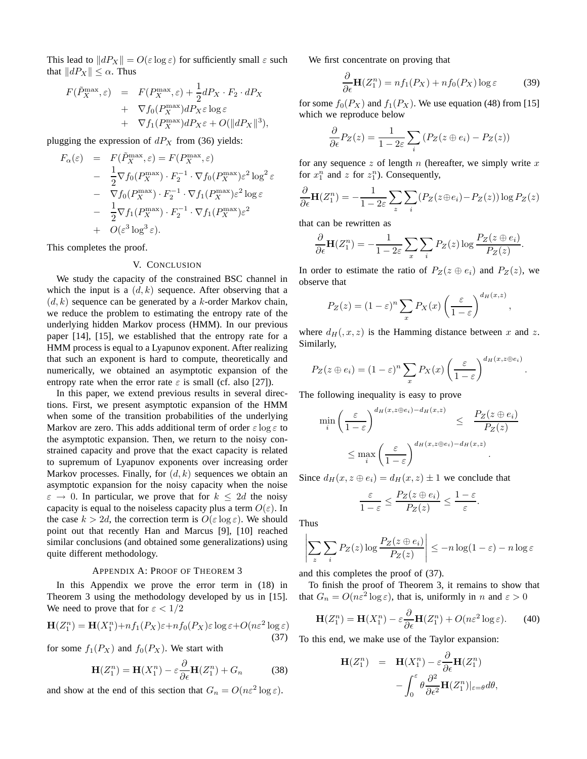This lead to  $||dP_X|| = O(\varepsilon \log \varepsilon)$  for sufficiently small  $\varepsilon$  such that  $||dP_X|| \leq \alpha$ . Thus

$$
F(\tilde{P}_X^{\max}, \varepsilon) = F(P_X^{\max}, \varepsilon) + \frac{1}{2}dP_X \cdot F_2 \cdot dP_X + \nabla f_0(P_X^{\max})dP_X \varepsilon \log \varepsilon + \nabla f_1(P_X^{\max})dP_X \varepsilon + O(||dP_X||^3),
$$

plugging the expression of  $dP_X$  from (36) yields:

$$
F_{\alpha}(\varepsilon) = F(\tilde{P}_X^{\max}, \varepsilon) = F(P_X^{\max}, \varepsilon)
$$
  
\n
$$
- \frac{1}{2} \nabla f_0(P_X^{\max}) \cdot F_2^{-1} \cdot \nabla f_0(P_X^{\max}) \varepsilon^2 \log^2 \varepsilon
$$
  
\n
$$
- \nabla f_0(P_X^{\max}) \cdot F_2^{-1} \cdot \nabla f_1(P_X^{\max}) \varepsilon^2 \log \varepsilon
$$
  
\n
$$
- \frac{1}{2} \nabla f_1(P_X^{\max}) \cdot F_2^{-1} \cdot \nabla f_1(P_X^{\max}) \varepsilon^2
$$
  
\n
$$
+ O(\varepsilon^3 \log^3 \varepsilon).
$$

This completes the proof.

#### V. CONCLUSION

We study the capacity of the constrained BSC channel in which the input is a  $(d, k)$  sequence. After observing that a  $(d, k)$  sequence can be generated by a k-order Markov chain, we reduce the problem to estimating the entropy rate of the underlying hidden Markov process (HMM). In our previous paper [14], [15], we established that the entropy rate for a HMM process is equal to a Lyapunov exponent. After realizing that such an exponent is hard to compute, theoretically and numerically, we obtained an asymptotic expansion of the entropy rate when the error rate  $\varepsilon$  is small (cf. also [27]).

In this paper, we extend previous results in several directions. First, we present asymptotic expansion of the HMM when some of the transition probabilities of the underlying Markov are zero. This adds additional term of order  $\varepsilon \log \varepsilon$  to the asymptotic expansion. Then, we return to the noisy constrained capacity and prove that the exact capacity is related to supremum of Lyapunov exponents over increasing order Markov processes. Finally, for  $(d, k)$  sequences we obtain an asymptotic expansion for the noisy capacity when the noise  $\varepsilon \to 0$ . In particular, we prove that for  $k \leq 2d$  the noisy capacity is equal to the noiseless capacity plus a term  $O(\varepsilon)$ . In the case  $k > 2d$ , the correction term is  $O(\varepsilon \log \varepsilon)$ . We should point out that recently Han and Marcus [9], [10] reached similar conclusions (and obtained some generalizations) using quite different methodology.

#### APPENDIX A: PROOF OF THEOREM 3

In this Appendix we prove the error term in  $(18)$  in Theorem 3 using the methodology developed by us in [15]. We need to prove that for  $\varepsilon < 1/2$ 

$$
\mathbf{H}(Z_1^n) = \mathbf{H}(X_1^n) + n f_1(P_X) \varepsilon + n f_0(P_X) \varepsilon \log \varepsilon + O(n \varepsilon^2 \log \varepsilon)
$$
\n(37)

for some  $f_1(P_X)$  and  $f_0(P_X)$ . We start with

$$
\mathbf{H}(Z_1^n) = \mathbf{H}(X_1^n) - \varepsilon \frac{\partial}{\partial \epsilon} \mathbf{H}(Z_1^n) + G_n \tag{38}
$$

and show at the end of this section that  $G_n = O(n\varepsilon^2 \log \varepsilon)$ .

We first concentrate on proving that

$$
\frac{\partial}{\partial \epsilon} \mathbf{H}(Z_1^n) = n f_1(P_X) + n f_0(P_X) \log \epsilon \tag{39}
$$

for some  $f_0(P_X)$  and  $f_1(P_X)$ . We use equation (48) from [15] which we reproduce below

$$
\frac{\partial}{\partial \epsilon} P_Z(z) = \frac{1}{1 - 2\varepsilon} \sum_i \left( P_Z(z \oplus e_i) - P_Z(z) \right)
$$

for any sequence  $z$  of length  $n$  (hereafter, we simply write  $x$ for  $x_1^n$  and z for  $z_1^n$ ). Consequently,

$$
\frac{\partial}{\partial \epsilon} \mathbf{H}(Z_1^n) = -\frac{1}{1 - 2\varepsilon} \sum_z \sum_i (P_Z(z \oplus e_i) - P_Z(z)) \log P_Z(z)
$$

that can be rewritten as

$$
\frac{\partial}{\partial \epsilon} \mathbf{H}(Z_1^n) = -\frac{1}{1-2\varepsilon} \sum_x \sum_i P_Z(z) \log \frac{P_Z(z \oplus e_i)}{P_Z(z)}.
$$

In order to estimate the ratio of  $P_Z(z \oplus e_i)$  and  $P_Z(z)$ , we observe that

$$
P_Z(z) = (1 - \varepsilon)^n \sum_x P_X(x) \left(\frac{\varepsilon}{1 - \varepsilon}\right)^{d_H(x, z)},
$$

where  $d_H(x, z)$  is the Hamming distance between x and z. Similarly,

$$
P_Z(z \oplus e_i) = (1 - \varepsilon)^n \sum_x P_X(x) \left(\frac{\varepsilon}{1 - \varepsilon}\right)^{d_H(x, z \oplus e_i)}.
$$

The following inequality is easy to prove

$$
\min_{i} \left( \frac{\varepsilon}{1-\varepsilon} \right)^{d_H(x,z \oplus e_i) - d_H(x,z)} \leq \frac{P_Z(z \oplus e_i)}{P_Z(z)} \leq \max_{i} \left( \frac{\varepsilon}{1-\varepsilon} \right)^{d_H(x,z \oplus e_i) - d_H(x,z)}.
$$

Since  $d_H(x, z \oplus e_i) = d_H(x, z) \pm 1$  we conclude that

$$
\frac{\varepsilon}{1-\varepsilon} \le \frac{P_Z(z \oplus e_i)}{P_Z(z)} \le \frac{1-\varepsilon}{\varepsilon}.
$$

Thus

$$
\left| \sum_{z} \sum_{i} P_Z(z) \log \frac{P_Z(z \oplus e_i)}{P_Z(z)} \right| \le -n \log(1 - \varepsilon) - n \log \varepsilon
$$

and this completes the proof of (37).

To finish the proof of Theorem 3, it remains to show that that  $G_n = O(n\varepsilon^2 \log \varepsilon)$ , that is, uniformly in n and  $\varepsilon > 0$ 

$$
\mathbf{H}(Z_1^n) = \mathbf{H}(X_1^n) - \varepsilon \frac{\partial}{\partial \epsilon} \mathbf{H}(Z_1^n) + O(n\varepsilon^2 \log \varepsilon). \tag{40}
$$

To this end, we make use of the Taylor expansion:

$$
\mathbf{H}(Z_1^n) = \mathbf{H}(X_1^n) - \varepsilon \frac{\partial}{\partial \epsilon} \mathbf{H}(Z_1^n) \n- \int_0^\varepsilon \theta \frac{\partial^2}{\partial \epsilon^2} \mathbf{H}(Z_1^n)|_{\varepsilon = \theta} d\theta,
$$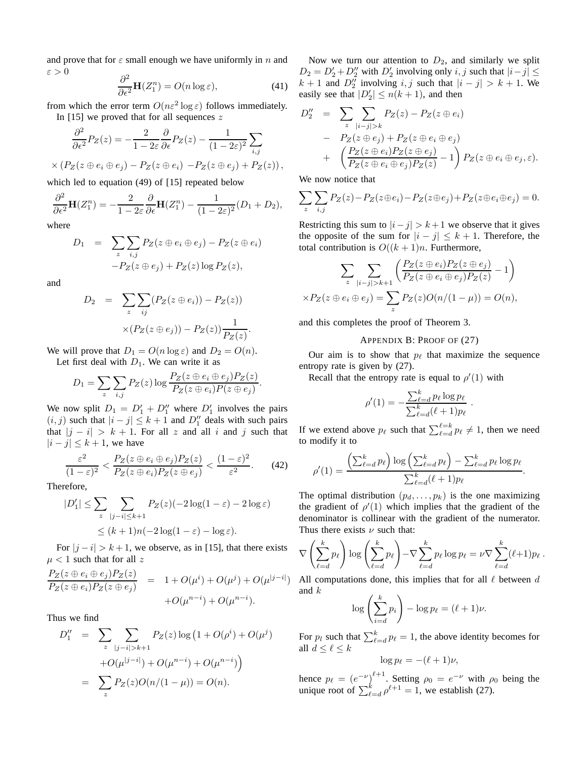and prove that for  $\varepsilon$  small enough we have uniformly in n and  $\varepsilon > 0$ 

$$
\frac{\partial^2}{\partial \epsilon^2} \mathbf{H}(Z_1^n) = O(n \log \varepsilon),\tag{41}
$$

from which the error term  $O(n\varepsilon^2 \log \varepsilon)$  follows immediately. In [15] we proved that for all sequences  $z$ 

$$
\frac{\partial^2}{\partial \epsilon^2} P_Z(z) = -\frac{2}{1 - 2\varepsilon} \frac{\partial}{\partial \epsilon} P_Z(z) - \frac{1}{(1 - 2\varepsilon)^2} \sum_{i,j} \times (P_Z(z \oplus e_i \oplus e_j) - P_Z(z \oplus e_i) - P_Z(z \oplus e_j) + P_Z(z)),
$$

which led to equation (49) of [15] repeated below

$$
\frac{\partial^2}{\partial \epsilon^2} \mathbf{H}(Z_1^n) = -\frac{2}{1-2\varepsilon} \frac{\partial}{\partial \epsilon} \mathbf{H}(Z_1^n) - \frac{1}{(1-2\varepsilon)^2} (D_1 + D_2),
$$

where

$$
D_1 = \sum_{z} \sum_{i,j} P_Z(z \oplus e_i \oplus e_j) - P_Z(z \oplus e_i)
$$

$$
-P_Z(z \oplus e_j) + P_Z(z) \log P_Z(z),
$$

and

$$
D_2 = \sum_{z} \sum_{ij} (P_Z(z \oplus e_i)) - P_Z(z))
$$

$$
\times (P_Z(z \oplus e_j)) - P_Z(z)) \frac{1}{P_Z(z)}.
$$

We will prove that  $D_1 = O(n \log \varepsilon)$  and  $D_2 = O(n)$ . Let first deal with  $D_1$ . We can write it as

$$
D_1 = \sum_{z} \sum_{i,j} P_Z(z) \log \frac{P_Z(z \oplus e_i \oplus e_j) P_Z(z)}{P_Z(z \oplus e_i) P(z \oplus e_j)}.
$$

We now split  $D_1 = D'_1 + D''_1$  where  $D'_1$  involves the pairs  $(i, j)$  such that  $|i - j| \leq k + 1$  and  $D''_1$  deals with such pairs that  $|j - i| > k + 1$ . For all z and all i and j such that  $|i - j| \leq k + 1$ , we have

$$
\frac{\varepsilon^2}{(1-\varepsilon)^2} < \frac{P_Z(z \oplus e_i \oplus e_j)P_Z(z)}{P_Z(z \oplus e_i)P_Z(z \oplus e_j)} < \frac{(1-\varepsilon)^2}{\varepsilon^2}.\tag{42}
$$

Therefore,

$$
|D'_1| \le \sum_{z} \sum_{|j-i| \le k+1} P_Z(z)(-2\log(1-\varepsilon) - 2\log \varepsilon)
$$
  
 
$$
\le (k+1)n(-2\log(1-\varepsilon) - \log \varepsilon).
$$

For  $|j - i| > k + 1$ , we observe, as in [15], that there exists  $\mu$  < 1 such that for all z

$$
\frac{P_Z(z \oplus e_i \oplus e_j)P_Z(z)}{P_Z(z \oplus e_i)P_Z(z \oplus e_j)} = 1 + O(\mu^i) + O(\mu^j) + O(\mu^{|j-i|}) + O(\mu^{n-i}).
$$

Thus we find

$$
D_1'' = \sum_{z} \sum_{|j-i|>k+1} P_Z(z) \log (1 + O(\rho^i) + O(\mu^j)
$$
  
+ 
$$
O(\mu^{|j-i|}) + O(\mu^{n-i}) + O(\mu^{n-i})
$$
  
= 
$$
\sum_{z} P_Z(z)O(n/(1 - \mu)) = O(n).
$$

Now we turn our attention to  $D_2$ , and similarly we split  $D_2 = D'_2 + D''_2$  with  $D'_2$  involving only i, j such that  $|i - j| \leq$  $k + 1$  and  $D''_2$  involving i, j such that  $|i - j| > k + 1$ . We easily see that  $|D'_2| \le n(k+1)$ , and then

$$
D_2'' = \sum_{z} \sum_{|i-j|>k} P_Z(z) - P_Z(z \oplus e_i)
$$
  
- 
$$
P_Z(z \oplus e_j) + P_Z(z \oplus e_i \oplus e_j)
$$
  
+ 
$$
\left(\frac{P_Z(z \oplus e_i)P_Z(z \oplus e_j)}{P_Z(z \oplus e_i \oplus e_j)P_Z(z)} - 1\right) P_Z(z \oplus e_i \oplus e_j, \varepsilon).
$$

We now notice that

$$
\sum_{z} \sum_{i,j} P_Z(z) - P_Z(z \oplus e_i) - P_Z(z \oplus e_j) + P_Z(z \oplus e_i \oplus e_j) = 0.
$$

Restricting this sum to  $|i-j| > k+1$  we observe that it gives the opposite of the sum for  $|i - j| \leq k + 1$ . Therefore, the total contribution is  $O((k+1)n)$ . Furthermore,

$$
\sum_{z} \sum_{|i-j|>k+1} \left( \frac{P_Z(z \oplus e_i) P_Z(z \oplus e_j)}{P_Z(z \oplus e_i \oplus e_j) P_Z(z)} - 1 \right)
$$
  
×
$$
P_Z(z \oplus e_i \oplus e_j) = \sum_{z} P_Z(z) O(n/(1 - \mu)) = O(n),
$$

and this completes the proof of Theorem 3.

#### APPENDIX B: PROOF OF (27)

Our aim is to show that  $p_\ell$  that maximize the sequence entropy rate is given by (27).

Recall that the entropy rate is equal to  $\rho'(1)$  with

$$
\rho'(1) = -\frac{\sum_{\ell=d}^k p_\ell \log p_\ell}{\sum_{\ell=d}^k (\ell+1) p_\ell}.
$$

If we extend above  $p_\ell$  such that  $\sum_{\ell=d}^{\ell=k} p_\ell \neq 1$ , then we need to modify it to

$$
\rho'(1) = \frac{\left(\sum_{\ell=d}^k p_\ell\right) \log\left(\sum_{\ell=d}^k p_\ell\right) - \sum_{\ell=d}^k p_\ell \log p_\ell}{\sum_{\ell=d}^k (\ell+1) p_\ell}.
$$

The optimal distribution  $(p_d, \ldots, p_k)$  is the one maximizing the gradient of  $\rho'(1)$  which implies that the gradient of the denominator is collinear with the gradient of the numerator. Thus there exists  $\nu$  such that:

$$
\nabla \left( \sum_{\ell=d}^k p_\ell \right) \log \left( \sum_{\ell=d}^k p_\ell \right) - \nabla \sum_{\ell=d}^k p_\ell \log p_\ell = \nu \nabla \sum_{\ell=d}^k (\ell+1) p_\ell.
$$

) All computations done, this implies that for all  $\ell$  between  $d$ and k

$$
\log\left(\sum_{i=d}^k p_i\right) - \log p_\ell = (\ell+1)\nu.
$$

For  $p_l$  such that  $\sum_{\ell=d}^{k} p_{\ell} = 1$ , the above identity becomes for all  $d \leq \ell \leq k$ 

$$
\log p_\ell = -(\ell+1)\nu,
$$

hence  $p_{\ell} = (e^{-\nu})^{\ell+1}$ . Setting  $\rho_0 = e^{-\nu}$  with  $\rho_0$  being the unique root of  $\sum_{\ell=d}^{k} \rho^{\ell+1} = 1$ , we establish (27).